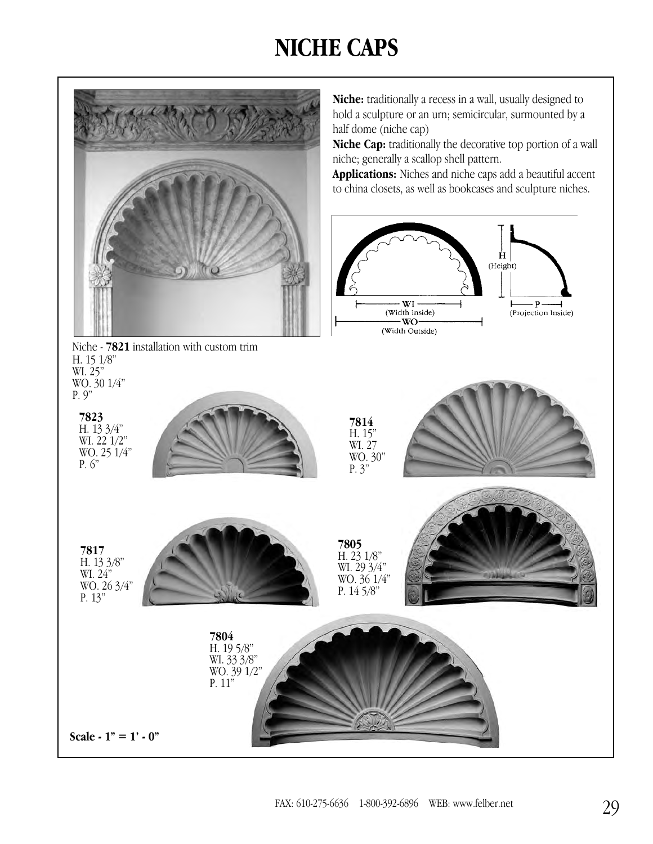## **NICHE CAPS**

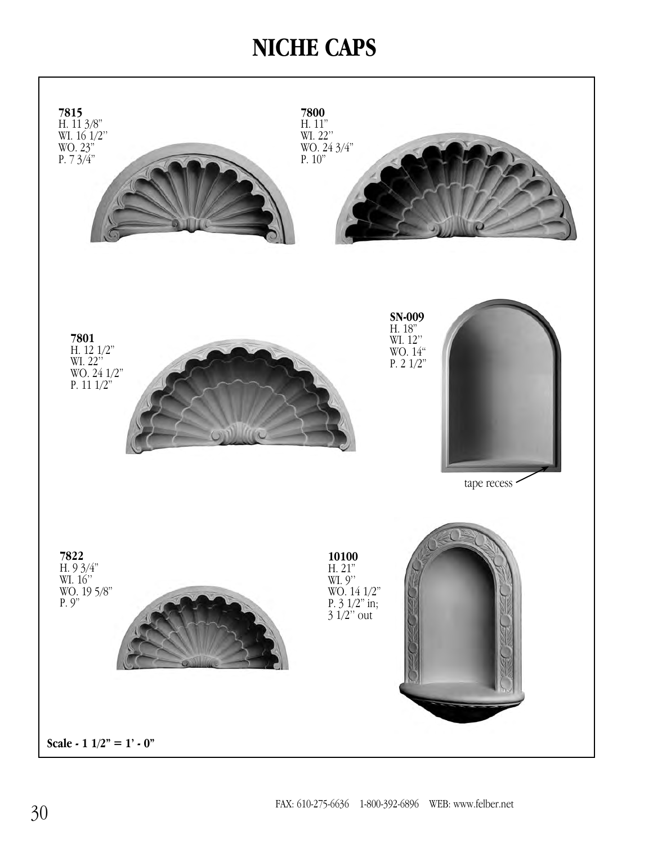## **NICHE CAPS**

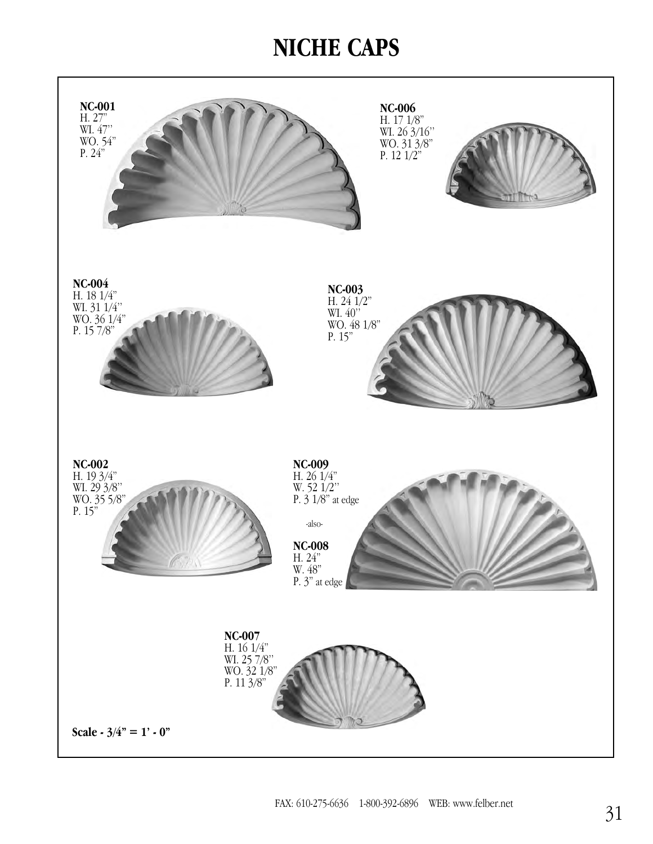## **NICHE CAPS**